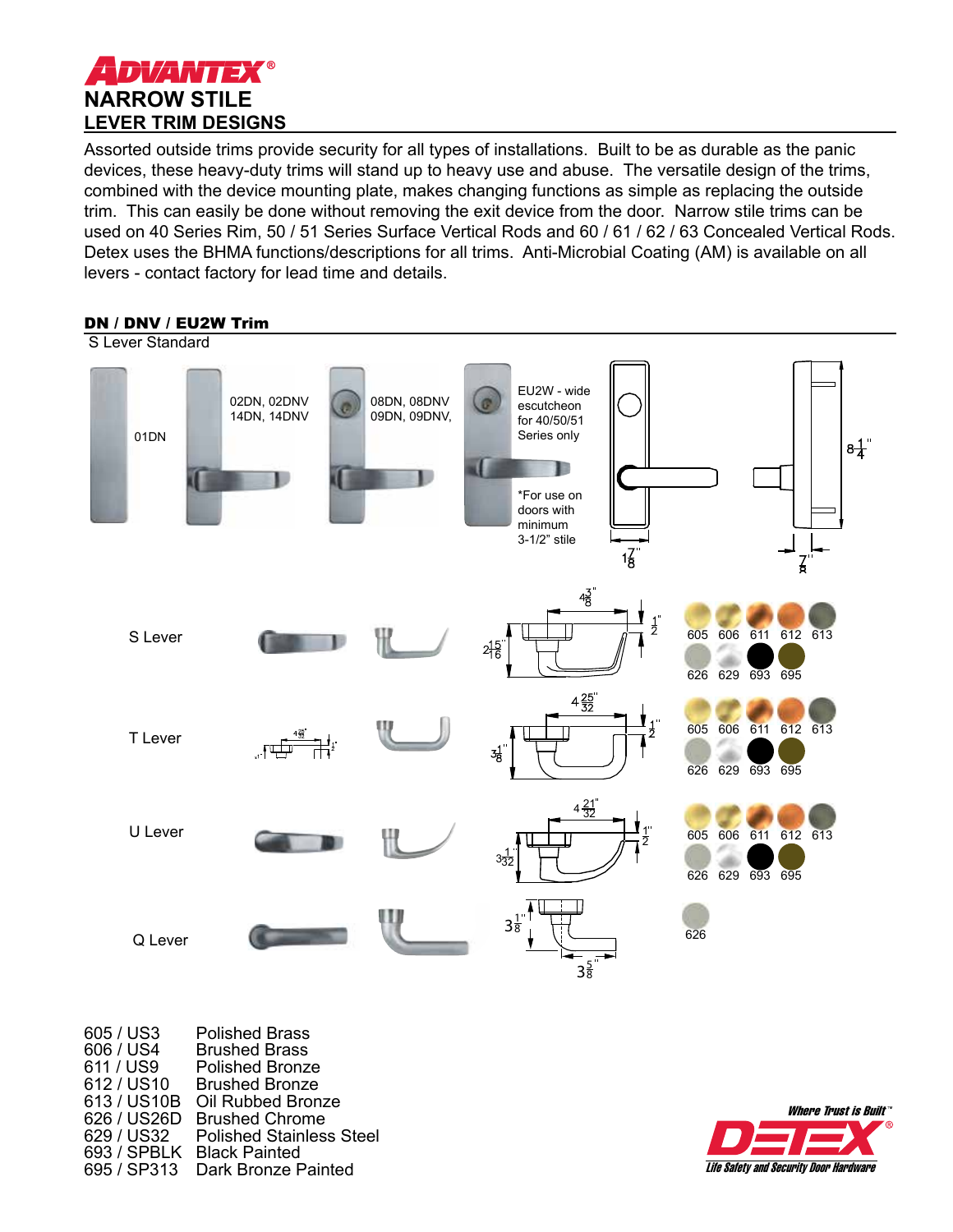

Assorted outside trims provide security for all types of installations. Built to be as durable as the panic devices, these heavy-duty trims will stand up to heavy use and abuse. The versatile design of the trims, combined with the device mounting plate, makes changing functions as simple as replacing the outside trim. This can easily be done without removing the exit device from the door. Narrow stile trims can be used on 40 Series Rim, 50 / 51 Series Surface Vertical Rods and 60 / 61 / 62 / 63 Concealed Vertical Rods. Detex uses the BHMA functions/descriptions for all trims. Anti-Microbial Coating (AM) is available on all levers - contact factory for lead time and details.



| <b>Polished Brass</b>           |
|---------------------------------|
| <b>Brushed Brass</b>            |
| <b>Polished Bronze</b>          |
| <b>Brushed Bronze</b>           |
| Oil Rubbed Bronze               |
| <b>Brushed Chrome</b>           |
| <b>Polished Stainless Steel</b> |
| <b>Black Painted</b>            |
| Dark Bronze Painted             |
|                                 |